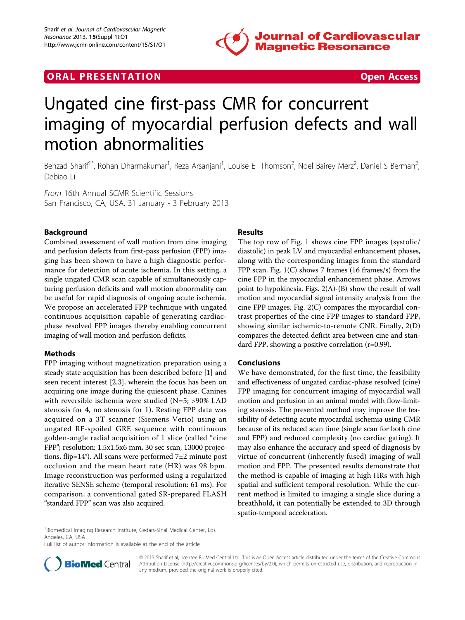

## **ORAL PRESENTATION CONSUMING ACCESS**



# Ungated cine first-pass CMR for concurrent imaging of myocardial perfusion defects and wall motion abnormalities

Behzad Sharif<sup>1\*</sup>, Rohan Dharmakumar<sup>1</sup>, Reza Arsanjani<sup>1</sup>, Louise E Thomson<sup>2</sup>, Noel Bairey Merz<sup>2</sup>, Daniel S Berman<sup>2</sup> .<br>, Debiao Li<sup>1</sup>

From 16th Annual SCMR Scientific Sessions San Francisco, CA, USA. 31 January - 3 February 2013

## Background

Combined assessment of wall motion from cine imaging and perfusion defects from first-pass perfusion (FPP) imaging has been shown to have a high diagnostic performance for detection of acute ischemia. In this setting, a single ungated CMR scan capable of simultaneously capturing perfusion deficits and wall motion abnormality can be useful for rapid diagnosis of ongoing acute ischemia. We propose an accelerated FPP technique with ungated continuous acquisition capable of generating cardiacphase resolved FPP images thereby enabling concurrent imaging of wall motion and perfusion deficits.

#### Methods

FPP imaging without magnetization preparation using a steady state acquisition has been described before [[1\]](#page-1-0) and seen recent interest [[2,3\]](#page-1-0), wherein the focus has been on acquiring one image during the quiescent phase. Canines with reversible ischemia were studied (N=5; >90% LAD stenosis for 4, no stenosis for 1). Resting FPP data was acquired on a 3T scanner (Siemens Verio) using an ungated RF-spoiled GRE sequence with continuous golden-angle radial acquisition of 1 slice (called "cine FPP"; resolution: 1.5x1.5x6 mm, 30 sec scan, 13000 projections, flip=14°). All scans were performed 7±2 minute post occlusion and the mean heart rate (HR) was 98 bpm. Image reconstruction was performed using a regularized iterative SENSE scheme (temporal resolution: 61 ms). For comparison, a conventional gated SR-prepared FLASH "standard FPP" scan was also acquired.

## Results

The top row of Fig. [1](#page-1-0) shows cine FPP images (systolic/ diastolic) in peak LV and myocardial enhancement phases, along with the corresponding images from the standard FPP scan. Fig. [1\(C\)](#page-1-0) shows 7 frames (16 frames/s) from the cine FPP in the myocardial enhancement phase. Arrows point to hypokinesia. Figs. [2\(A\)-\(B\)](#page-1-0) show the result of wall motion and myocardial signal intensity analysis from the cine FPP images. Fig. [2\(C\)](#page-1-0) compares the myocardial contrast properties of the cine FPP images to standard FPP, showing similar ischemic-to-remote CNR. Finally, [2\(D\)](#page-1-0) compares the detected deficit area between cine and standard FPP, showing a positive correlation (r=0.99).

#### Conclusions

We have demonstrated, for the first time, the feasibility and effectiveness of ungated cardiac-phase resolved (cine) FPP imaging for concurrent imaging of myocardial wall motion and perfusion in an animal model with flow-limiting stenosis. The presented method may improve the feasibility of detecting acute myocardial ischemia using CMR because of its reduced scan time (single scan for both cine and FPP) and reduced complexity (no cardiac gating). It may also enhance the accuracy and speed of diagnosis by virtue of concurrent (inherently fused) imaging of wall motion and FPP. The presented results demonstrate that the method is capable of imaging at high HRs with high spatial and sufficient temporal resolution. While the current method is limited to imaging a single slice during a breathhold, it can potentially be extended to 3D through spatio-temporal acceleration.

Full list of author information is available at the end of the article



© 2013 Sharif et al; licensee BioMed Central Ltd. This is an Open Access article distributed under the terms of the Creative Commons Attribution License [\(http://creativecommons.org/licenses/by/2.0](http://creativecommons.org/licenses/by/2.0)), which permits unrestricted use, distribution, and reproduction in any medium, provided the original work is properly cited.

<sup>&</sup>lt;sup>1</sup>Biomedical Imaging Research Institute, Cedars-Sinai Medical Center, Los Angeles, CA, USA